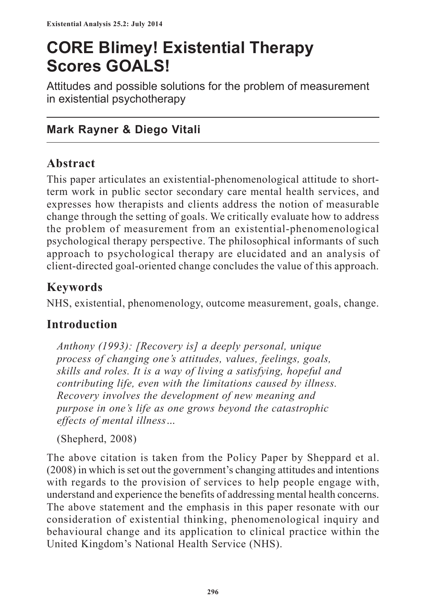# **CORE Blimey! Existential Therapy Scores GOALS!**

Attitudes and possible solutions for the problem of measurement in existential psychotherapy

# **Mark Rayner & Diego Vitali**

## **Abstract**

This paper articulates an existential-phenomenological attitude to shortterm work in public sector secondary care mental health services, and expresses how therapists and clients address the notion of measurable change through the setting of goals. We critically evaluate how to address the problem of measurement from an existential-phenomenological psychological therapy perspective. The philosophical informants of such approach to psychological therapy are elucidated and an analysis of client-directed goal-oriented change concludes the value of this approach.

# **Keywords**

NHS, existential, phenomenology, outcome measurement, goals, change.

# **Introduction**

*Anthony (1993): [Recovery is] a deeply personal, unique process of changing one's attitudes, values, feelings, goals, skills and roles. It is a way of living a satisfying, hopeful and contributing life, even with the limitations caused by illness. Recovery involves the development of new meaning and purpose in one's life as one grows beyond the catastrophic effects of mental illness…*

(Shepherd, 2008)

The above citation is taken from the Policy Paper by Sheppard et al. (2008) in which is set out the government's changing attitudes and intentions with regards to the provision of services to help people engage with, understand and experience the benefits of addressing mental health concerns. The above statement and the emphasis in this paper resonate with our consideration of existential thinking, phenomenological inquiry and behavioural change and its application to clinical practice within the United Kingdom's National Health Service (NHS).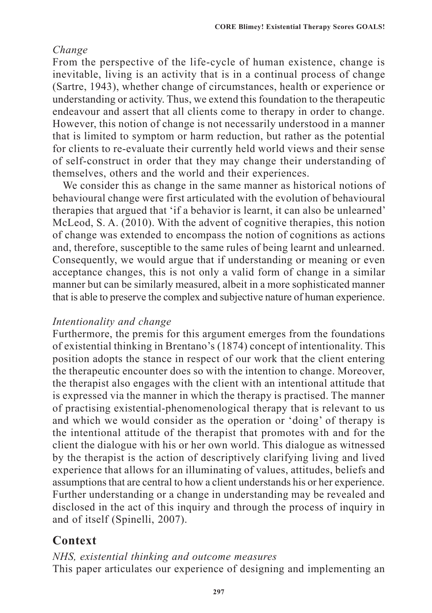#### *Change*

From the perspective of the life-cycle of human existence, change is inevitable, living is an activity that is in a continual process of change (Sartre, 1943), whether change of circumstances, health or experience or understanding or activity. Thus, we extend this foundation to the therapeutic endeavour and assert that all clients come to therapy in order to change. However, this notion of change is not necessarily understood in a manner that is limited to symptom or harm reduction, but rather as the potential for clients to re-evaluate their currently held world views and their sense of self-construct in order that they may change their understanding of themselves, others and the world and their experiences.

We consider this as change in the same manner as historical notions of behavioural change were first articulated with the evolution of behavioural therapies that argued that 'if a behavior is learnt, it can also be unlearned' McLeod, S. A. (2010). With the advent of cognitive therapies, this notion of change was extended to encompass the notion of cognitions as actions and, therefore, susceptible to the same rules of being learnt and unlearned. Consequently, we would argue that if understanding or meaning or even acceptance changes, this is not only a valid form of change in a similar manner but can be similarly measured, albeit in a more sophisticated manner that is able to preserve the complex and subjective nature of human experience.

#### *Intentionality and change*

Furthermore, the premis for this argument emerges from the foundations of existential thinking in Brentano's (1874) concept of intentionality. This position adopts the stance in respect of our work that the client entering the therapeutic encounter does so with the intention to change. Moreover, the therapist also engages with the client with an intentional attitude that is expressed via the manner in which the therapy is practised. The manner of practising existential-phenomenological therapy that is relevant to us and which we would consider as the operation or 'doing' of therapy is the intentional attitude of the therapist that promotes with and for the client the dialogue with his or her own world. This dialogue as witnessed by the therapist is the action of descriptively clarifying living and lived experience that allows for an illuminating of values, attitudes, beliefs and assumptions that are central to how a client understands his or her experience. Further understanding or a change in understanding may be revealed and disclosed in the act of this inquiry and through the process of inquiry in and of itself (Spinelli, 2007).

# **Context**

*NHS, existential thinking and outcome measures* This paper articulates our experience of designing and implementing an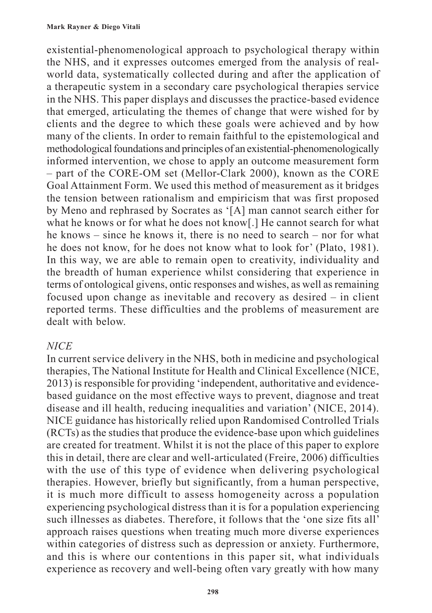existential-phenomenological approach to psychological therapy within the NHS, and it expresses outcomes emerged from the analysis of realworld data, systematically collected during and after the application of a therapeutic system in a secondary care psychological therapies service in the NHS. This paper displays and discusses the practice-based evidence that emerged, articulating the themes of change that were wished for by clients and the degree to which these goals were achieved and by how many of the clients. In order to remain faithful to the epistemological and methodological foundations and principles of an existential-phenomenologically informed intervention, we chose to apply an outcome measurement form – part of the CORE-OM set (Mellor-Clark 2000), known as the CORE Goal Attainment Form. We used this method of measurement as it bridges the tension between rationalism and empiricism that was first proposed by Meno and rephrased by Socrates as '[A] man cannot search either for what he knows or for what he does not know. He cannot search for what he knows – since he knows it, there is no need to search – nor for what he does not know, for he does not know what to look for' (Plato, 1981). In this way, we are able to remain open to creativity, individuality and the breadth of human experience whilst considering that experience in terms of ontological givens, ontic responses and wishes, as well as remaining focused upon change as inevitable and recovery as desired – in client reported terms. These difficulties and the problems of measurement are dealt with below.

#### *NICE*

In current service delivery in the NHS, both in medicine and psychological therapies, The National Institute for Health and Clinical Excellence (NICE, 2013) is responsible for providing 'independent, authoritative and evidencebased guidance on the most effective ways to prevent, diagnose and treat disease and ill health, reducing inequalities and variation' (NICE, 2014). NICE guidance has historically relied upon Randomised Controlled Trials (RCTs) as the studies that produce the evidence-base upon which guidelines are created for treatment. Whilst it is not the place of this paper to explore this in detail, there are clear and well-articulated (Freire, 2006) difficulties with the use of this type of evidence when delivering psychological therapies. However, briefly but significantly, from a human perspective, it is much more difficult to assess homogeneity across a population experiencing psychological distress than it is for a population experiencing such illnesses as diabetes. Therefore, it follows that the 'one size fits all' approach raises questions when treating much more diverse experiences within categories of distress such as depression or anxiety. Furthermore, and this is where our contentions in this paper sit, what individuals experience as recovery and well-being often vary greatly with how many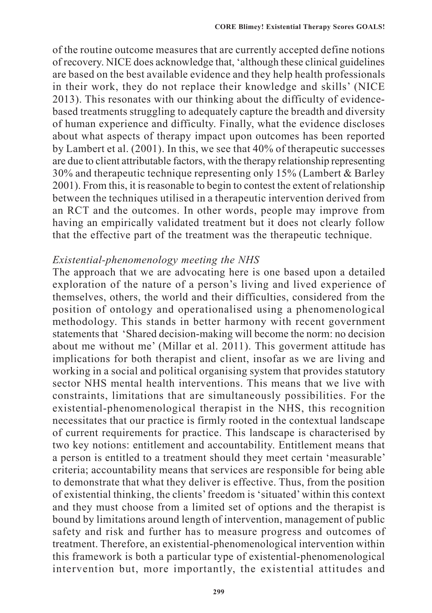of the routine outcome measures that are currently accepted define notions of recovery. NICE does acknowledge that, 'although these clinical guidelines are based on the best available evidence and they help health professionals in their work, they do not replace their knowledge and skills' (NICE 2013). This resonates with our thinking about the difficulty of evidencebased treatments struggling to adequately capture the breadth and diversity of human experience and difficulty. Finally, what the evidence discloses about what aspects of therapy impact upon outcomes has been reported by Lambert et al. (2001). In this, we see that 40% of therapeutic successes are due to client attributable factors, with the therapy relationship representing 30% and therapeutic technique representing only 15% (Lambert & Barley 2001). From this, it is reasonable to begin to contest the extent of relationship between the techniques utilised in a therapeutic intervention derived from an RCT and the outcomes. In other words, people may improve from having an empirically validated treatment but it does not clearly follow that the effective part of the treatment was the therapeutic technique.

#### *Existential-phenomenology meeting the NHS*

The approach that we are advocating here is one based upon a detailed exploration of the nature of a person's living and lived experience of themselves, others, the world and their difficulties, considered from the position of ontology and operationalised using a phenomenological methodology. This stands in better harmony with recent government statements that 'Shared decision-making will become the norm: no decision about me without me' (Millar et al. 2011). This goverment attitude has implications for both therapist and client, insofar as we are living and working in a social and political organising system that provides statutory sector NHS mental health interventions. This means that we live with constraints, limitations that are simultaneously possibilities. For the existential-phenomenological therapist in the NHS, this recognition necessitates that our practice is firmly rooted in the contextual landscape of current requirements for practice. This landscape is characterised by two key notions: entitlement and accountability. Entitlement means that a person is entitled to a treatment should they meet certain 'measurable' criteria; accountability means that services are responsible for being able to demonstrate that what they deliver is effective. Thus, from the position of existential thinking, the clients' freedom is 'situated' within this context and they must choose from a limited set of options and the therapist is bound by limitations around length of intervention, management of public safety and risk and further has to measure progress and outcomes of treatment. Therefore, an existential-phenomenological intervention within this framework is both a particular type of existential-phenomenological intervention but, more importantly, the existential attitudes and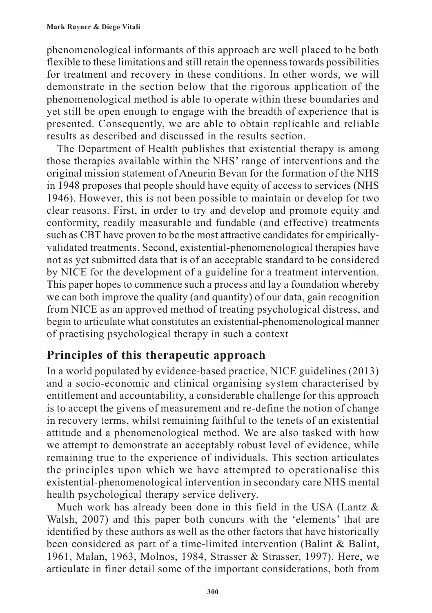phenomenological informants of this approach are well placed to be both flexible to these limitations and still retain the openness towards possibilities for treatment and recovery in these conditions. In other words, we will demonstrate in the section below that the rigorous application of the phenomenological method is able to operate within these boundaries and yet still be open enough to engage with the breadth of experience that is presented. Consequently, we are able to obtain replicable and reliable results as described and discussed in the results section.

The Department of Health publishes that existential therapy is among those therapies available within the NHS' range of interventions and the original mission statement of Aneurin Bevan for the formation of the NHS in 1948 proposes that people should have equity of access to services (NHS 1946). However, this is not been possible to maintain or develop for two clear reasons. First, in order to try and develop and promote equity and conformity, readily measurable and fundable (and effective) treatments such as CBT have proven to be the most attractive candidates for empiricallyvalidated treatments. Second, existential-phenomenological therapies have not as yet submitted data that is of an acceptable standard to be considered by NICE for the development of a guideline for a treatment intervention. This paper hopes to commence such a process and lay a foundation whereby we can both improve the quality (and quantity) of our data, gain recognition from NICE as an approved method of treating psychological distress, and begin to articulate what constitutes an existential-phenomenological manner of practising psychological therapy in such a context

## **Principles of this therapeutic approach**

In a world populated by evidence-based practice, NICE guidelines (2013) and a socio-economic and clinical organising system characterised by entitlement and accountability, a considerable challenge for this approach is to accept the givens of measurement and re-define the notion of change in recovery terms, whilst remaining faithful to the tenets of an existential attitude and a phenomenological method. We are also tasked with how we attempt to demonstrate an acceptably robust level of evidence, while remaining true to the experience of individuals. This section articulates the principles upon which we have attempted to operationalise this existential-phenomenological intervention in secondary care NHS mental health psychological therapy service delivery.

Much work has already been done in this field in the USA (Lantz & Walsh, 2007) and this paper both concurs with the 'elements' that are identified by these authors as well as the other factors that have historically been considered as part of a time-limited intervention (Balint & Balint, 1961, Malan, 1963, Molnos, 1984, Strasser & Strasser, 1997). Here, we articulate in finer detail some of the important considerations, both from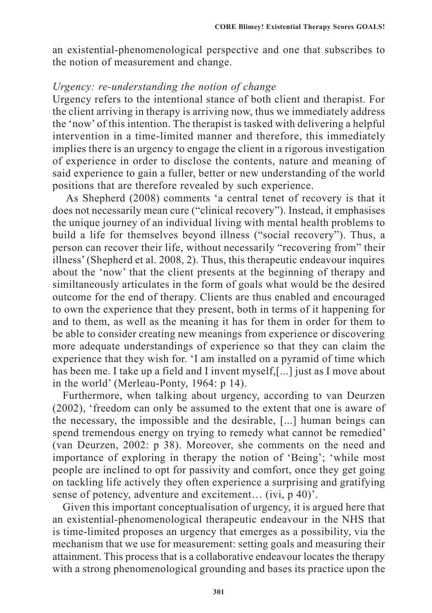an existential-phenomenological perspective and one that subscribes to the notion of measurement and change.

#### *Urgency: re-understanding the notion of change*

Urgency refers to the intentional stance of both client and therapist. For the client arriving in therapy is arriving now, thus we immediately address the 'now' of this intention. The therapist is tasked with delivering a helpful intervention in a time-limited manner and therefore, this immediately implies there is an urgency to engage the client in a rigorous investigation of experience in order to disclose the contents, nature and meaning of said experience to gain a fuller, better or new understanding of the world positions that are therefore revealed by such experience.

 As Shepherd (2008) comments 'a central tenet of recovery is that it does not necessarily mean cure ("clinical recovery"). Instead, it emphasises the unique journey of an individual living with mental health problems to build a life for themselves beyond illness ("social recovery"). Thus, a person can recover their life, without necessarily "recovering from" their illness' (Shepherd et al. 2008, 2). Thus, this therapeutic endeavour inquires about the 'now' that the client presents at the beginning of therapy and similtaneously articulates in the form of goals what would be the desired outcome for the end of therapy. Clients are thus enabled and encouraged to own the experience that they present, both in terms of it happening for and to them, as well as the meaning it has for them in order for them to be able to consider creating new meanings from experience or discovering more adequate understandings of experience so that they can claim the experience that they wish for. 'I am installed on a pyramid of time which has been me. I take up a field and I invent myself,[...] just as I move about in the world' (Merleau-Ponty, 1964: p 14).

Furthermore, when talking about urgency, according to van Deurzen (2002), 'freedom can only be assumed to the extent that one is aware of the necessary, the impossible and the desirable, [...] human beings can spend tremendous energy on trying to remedy what cannot be remedied' (van Deurzen, 2002: p 38). Moreover, she comments on the need and importance of exploring in therapy the notion of 'Being'; 'while most people are inclined to opt for passivity and comfort, once they get going on tackling life actively they often experience a surprising and gratifying sense of potency, adventure and excitement… (ivi, p 40)'.

Given this important conceptualisation of urgency, it is argued here that an existential-phenomenological therapeutic endeavour in the NHS that is time-limited proposes an urgency that emerges as a possibility, via the mechanism that we use for measurement: setting goals and measuring their attainment. This process that is a collaborative endeavour locates the therapy with a strong phenomenological grounding and bases its practice upon the

**301**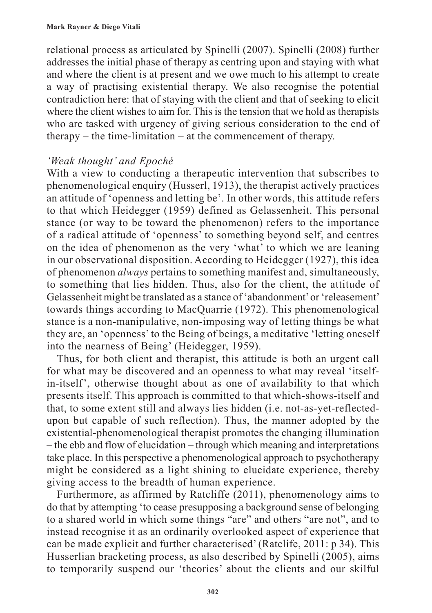relational process as articulated by Spinelli (2007). Spinelli (2008) further addresses the initial phase of therapy as centring upon and staying with what and where the client is at present and we owe much to his attempt to create a way of practising existential therapy. We also recognise the potential contradiction here: that of staying with the client and that of seeking to elicit where the client wishes to aim for. This is the tension that we hold as therapists who are tasked with urgency of giving serious consideration to the end of therapy – the time-limitation – at the commencement of therapy.

#### *'Weak thought' and Epoché*

With a view to conducting a therapeutic intervention that subscribes to phenomenological enquiry (Husserl, 1913), the therapist actively practices an attitude of 'openness and letting be'. In other words, this attitude refers to that which Heidegger (1959) defined as Gelassenheit. This personal stance (or way to be toward the phenomenon) refers to the importance of a radical attitude of 'openness' to something beyond self, and centres on the idea of phenomenon as the very 'what' to which we are leaning in our observational disposition. According to Heidegger (1927), this idea of phenomenon *always* pertains to something manifest and, simultaneously, to something that lies hidden. Thus, also for the client, the attitude of Gelassenheit might be translated as a stance of 'abandonment' or 'releasement' towards things according to MacQuarrie (1972). This phenomenological stance is a non-manipulative, non-imposing way of letting things be what they are, an 'openness' to the Being of beings, a meditative 'letting oneself into the nearness of Being' (Heidegger, 1959).

Thus, for both client and therapist, this attitude is both an urgent call for what may be discovered and an openness to what may reveal 'itselfin-itself', otherwise thought about as one of availability to that which presents itself. This approach is committed to that which-shows-itself and that, to some extent still and always lies hidden (i.e. not-as-yet-reflectedupon but capable of such reflection). Thus, the manner adopted by the existential-phenomenological therapist promotes the changing illumination – the ebb and flow of elucidation – through which meaning and interpretations take place. In this perspective a phenomenological approach to psychotherapy might be considered as a light shining to elucidate experience, thereby giving access to the breadth of human experience.

Furthermore, as affirmed by Ratcliffe (2011), phenomenology aims to do that by attempting 'to cease presupposing a background sense of belonging to a shared world in which some things "are" and others "are not", and to instead recognise it as an ordinarily overlooked aspect of experience that can be made explicit and further characterised' (Ratclife, 2011: p 34). This Husserlian bracketing process, as also described by Spinelli (2005), aims to temporarily suspend our 'theories' about the clients and our skilful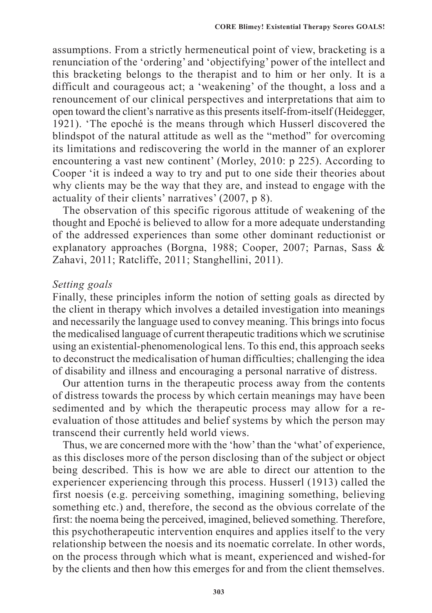assumptions. From a strictly hermeneutical point of view, bracketing is a renunciation of the 'ordering' and 'objectifying' power of the intellect and this bracketing belongs to the therapist and to him or her only. It is a difficult and courageous act; a 'weakening' of the thought, a loss and a renouncement of our clinical perspectives and interpretations that aim to open toward the client's narrative as this presents itself-from-itself (Heidegger, 1921). 'The epoché is the means through which Husserl discovered the blindspot of the natural attitude as well as the "method" for overcoming its limitations and rediscovering the world in the manner of an explorer encountering a vast new continent' (Morley, 2010: p 225). According to Cooper 'it is indeed a way to try and put to one side their theories about why clients may be the way that they are, and instead to engage with the actuality of their clients' narratives' (2007, p 8).

The observation of this specific rigorous attitude of weakening of the thought and Epoché is believed to allow for a more adequate understanding of the addressed experiences than some other dominant reductionist or explanatory approaches (Borgna, 1988; Cooper, 2007; Parnas, Sass & Zahavi, 2011; Ratcliffe, 2011; Stanghellini, 2011).

#### *Setting goals*

Finally, these principles inform the notion of setting goals as directed by the client in therapy which involves a detailed investigation into meanings and necessarily the language used to convey meaning. This brings into focus the medicalised language of current therapeutic traditions which we scrutinise using an existential-phenomenological lens. To this end, this approach seeks to deconstruct the medicalisation of human difficulties; challenging the idea of disability and illness and encouraging a personal narrative of distress.

Our attention turns in the therapeutic process away from the contents of distress towards the process by which certain meanings may have been sedimented and by which the therapeutic process may allow for a reevaluation of those attitudes and belief systems by which the person may transcend their currently held world views.

Thus, we are concerned more with the 'how' than the 'what' of experience, as this discloses more of the person disclosing than of the subject or object being described. This is how we are able to direct our attention to the experiencer experiencing through this process. Husserl (1913) called the first noesis (e.g. perceiving something, imagining something, believing something etc.) and, therefore, the second as the obvious correlate of the first: the noema being the perceived, imagined, believed something. Therefore, this psychotherapeutic intervention enquires and applies itself to the very relationship between the noesis and its noematic correlate. In other words, on the process through which what is meant, experienced and wished-for by the clients and then how this emerges for and from the client themselves.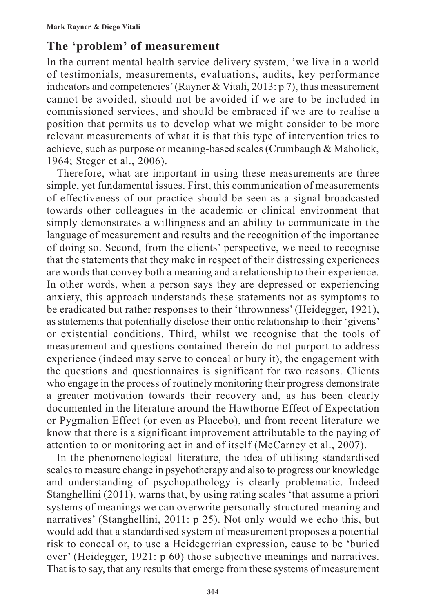# **The 'problem' of measurement**

In the current mental health service delivery system, 'we live in a world of testimonials, measurements, evaluations, audits, key performance indicators and competencies' (Rayner & Vitali, 2013: p 7), thus measurement cannot be avoided, should not be avoided if we are to be included in commissioned services, and should be embraced if we are to realise a position that permits us to develop what we might consider to be more relevant measurements of what it is that this type of intervention tries to achieve, such as purpose or meaning-based scales (Crumbaugh & Maholick, 1964; Steger et al., 2006).

Therefore, what are important in using these measurements are three simple, yet fundamental issues. First, this communication of measurements of effectiveness of our practice should be seen as a signal broadcasted towards other colleagues in the academic or clinical environment that simply demonstrates a willingness and an ability to communicate in the language of measurement and results and the recognition of the importance of doing so. Second, from the clients' perspective, we need to recognise that the statements that they make in respect of their distressing experiences are words that convey both a meaning and a relationship to their experience. In other words, when a person says they are depressed or experiencing anxiety, this approach understands these statements not as symptoms to be eradicated but rather responses to their 'thrownness' (Heidegger, 1921), as statements that potentially disclose their ontic relationship to their 'givens' or existential conditions. Third, whilst we recognise that the tools of measurement and questions contained therein do not purport to address experience (indeed may serve to conceal or bury it), the engagement with the questions and questionnaires is significant for two reasons. Clients who engage in the process of routinely monitoring their progress demonstrate a greater motivation towards their recovery and, as has been clearly documented in the literature around the Hawthorne Effect of Expectation or Pygmalion Effect (or even as Placebo), and from recent literature we know that there is a significant improvement attributable to the paying of attention to or monitoring act in and of itself (McCarney et al., 2007).

In the phenomenological literature, the idea of utilising standardised scales to measure change in psychotherapy and also to progress our knowledge and understanding of psychopathology is clearly problematic. Indeed Stanghellini (2011), warns that, by using rating scales 'that assume a priori systems of meanings we can overwrite personally structured meaning and narratives' (Stanghellini, 2011: p 25). Not only would we echo this, but would add that a standardised system of measurement proposes a potential risk to conceal or, to use a Heidegerrian expression, cause to be 'buried over' (Heidegger, 1921: p 60) those subjective meanings and narratives. That is to say, that any results that emerge from these systems of measurement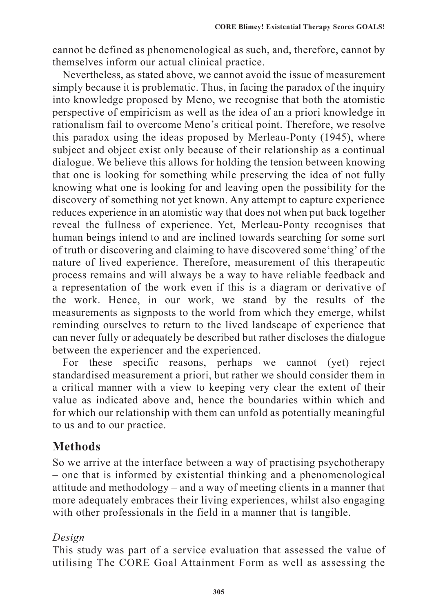cannot be defined as phenomenological as such, and, therefore, cannot by themselves inform our actual clinical practice.

Nevertheless, as stated above, we cannot avoid the issue of measurement simply because it is problematic. Thus, in facing the paradox of the inquiry into knowledge proposed by Meno, we recognise that both the atomistic perspective of empiricism as well as the idea of an a priori knowledge in rationalism fail to overcome Meno's critical point. Therefore, we resolve this paradox using the ideas proposed by Merleau-Ponty (1945), where subject and object exist only because of their relationship as a continual dialogue. We believe this allows for holding the tension between knowing that one is looking for something while preserving the idea of not fully knowing what one is looking for and leaving open the possibility for the discovery of something not yet known. Any attempt to capture experience reduces experience in an atomistic way that does not when put back together reveal the fullness of experience. Yet, Merleau-Ponty recognises that human beings intend to and are inclined towards searching for some sort of truth or discovering and claiming to have discovered some'thing' of the nature of lived experience. Therefore, measurement of this therapeutic process remains and will always be a way to have reliable feedback and a representation of the work even if this is a diagram or derivative of the work. Hence, in our work, we stand by the results of the measurements as signposts to the world from which they emerge, whilst reminding ourselves to return to the lived landscape of experience that can never fully or adequately be described but rather discloses the dialogue between the experiencer and the experienced.

For these specific reasons, perhaps we cannot (yet) reject standardised measurement a priori, but rather we should consider them in a critical manner with a view to keeping very clear the extent of their value as indicated above and, hence the boundaries within which and for which our relationship with them can unfold as potentially meaningful to us and to our practice.

### **Methods**

So we arrive at the interface between a way of practising psychotherapy – one that is informed by existential thinking and a phenomenological attitude and methodology – and a way of meeting clients in a manner that more adequately embraces their living experiences, whilst also engaging with other professionals in the field in a manner that is tangible.

#### *Design*

This study was part of a service evaluation that assessed the value of utilising The CORE Goal Attainment Form as well as assessing the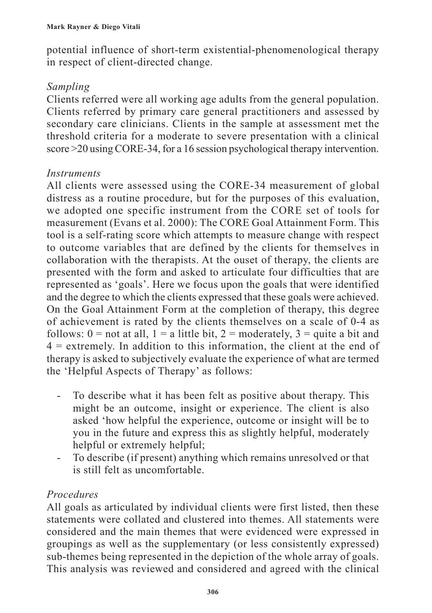potential influence of short-term existential-phenomenological therapy in respect of client-directed change.

#### *Sampling*

Clients referred were all working age adults from the general population. Clients referred by primary care general practitioners and assessed by secondary care clinicians. Clients in the sample at assessment met the threshold criteria for a moderate to severe presentation with a clinical score >20 using CORE-34, for a 16 session psychological therapy intervention.

#### *Instruments*

All clients were assessed using the CORE-34 measurement of global distress as a routine procedure, but for the purposes of this evaluation, we adopted one specific instrument from the CORE set of tools for measurement (Evans et al. 2000): The CORE Goal Attainment Form. This tool is a self-rating score which attempts to measure change with respect to outcome variables that are defined by the clients for themselves in collaboration with the therapists. At the ouset of therapy, the clients are presented with the form and asked to articulate four difficulties that are represented as 'goals'. Here we focus upon the goals that were identified and the degree to which the clients expressed that these goals were achieved. On the Goal Attainment Form at the completion of therapy, this degree of achievement is rated by the clients themselves on a scale of 0-4 as follows:  $0 =$  not at all,  $1 = a$  little bit,  $2 =$  moderately,  $3 =$  quite a bit and  $4 =$  extremely. In addition to this information, the client at the end of therapy is asked to subjectively evaluate the experience of what are termed the 'Helpful Aspects of Therapy' as follows:

- To describe what it has been felt as positive about therapy. This might be an outcome, insight or experience. The client is also asked 'how helpful the experience, outcome or insight will be to you in the future and express this as slightly helpful, moderately helpful or extremely helpful;
- To describe (if present) anything which remains unresolved or that is still felt as uncomfortable.

### *Procedures*

All goals as articulated by individual clients were first listed, then these statements were collated and clustered into themes. All statements were considered and the main themes that were evidenced were expressed in groupings as well as the supplementary (or less consistently expressed) sub-themes being represented in the depiction of the whole array of goals. This analysis was reviewed and considered and agreed with the clinical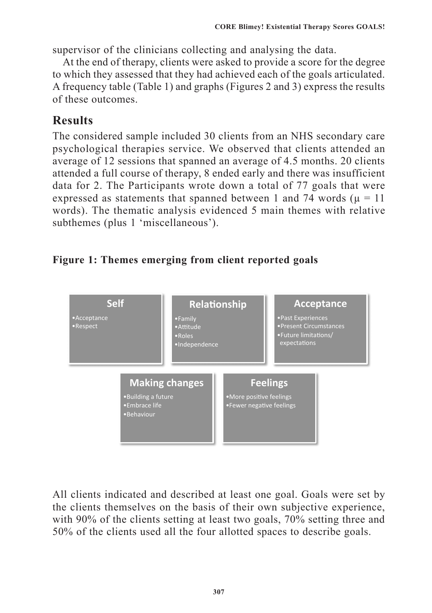supervisor of the clinicians collecting and analysing the data.

At the end of therapy, clients were asked to provide a score for the degree to which they assessed that they had achieved each of the goals articulated. A frequency table (Table 1) and graphs (Figures 2 and 3) express the results of these outcomes.

# **Results**

The considered sample included 30 clients from an NHS secondary care psychological therapies service. We observed that clients attended an average of 12 sessions that spanned an average of 4.5 months. 20 clients attended a full course of therapy, 8 ended early and there was insufficient data for 2. The Participants wrote down a total of 77 goals that were expressed as statements that spanned between 1 and 74 words ( $\mu = 11$ ) words). The thematic analysis evidenced 5 main themes with relative subthemes (plus 1 'miscellaneous').

# Figure 1: Themes emerging from client reported goals



All clients indicated and described at least one goal. Goals were set by the clients themselves on the basis of their own subjective experience, with 90% of the clients setting at least two goals, 70% setting three and 50% of the clients used all the four allotted spaces to describe goals.  $\frac{1}{2}$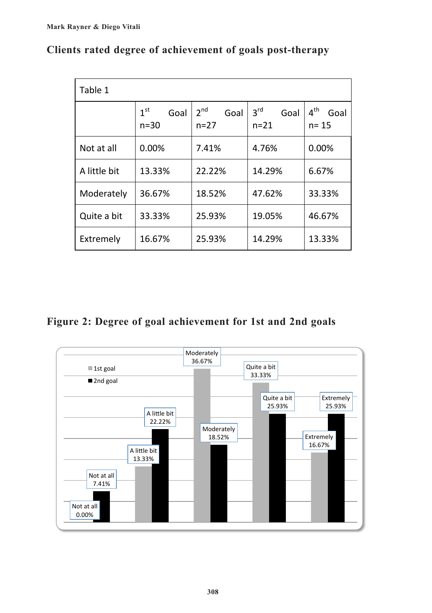| Table 1      |                                     |                                     |                                     |                                     |
|--------------|-------------------------------------|-------------------------------------|-------------------------------------|-------------------------------------|
|              | 1 <sup>st</sup><br>Goal<br>$n = 30$ | 2 <sup>nd</sup><br>Goal<br>$n = 27$ | 3 <sup>rd</sup><br>Goal<br>$n = 21$ | 4 <sup>th</sup><br>Goal<br>$n = 15$ |
| Not at all   | 0.00%                               | 7.41%                               | 4.76%                               | 0.00%                               |
| A little bit | 13.33%                              | 22.22%                              | 14.29%                              | 6.67%                               |
| Moderately   | 36.67%                              | 18.52%                              | 47.62%                              | 33.33%                              |
| Quite a bit  | 33.33%                              | 25.93%                              | 19.05%                              | 46.67%                              |
| Extremely    | 16.67%                              | 25.93%                              | 14.29%                              | 13.33%                              |

### **Clients rated degree of achievement of goals post-therapy Clients 
rated degree 
of achievement 
of 

goals 
post-‐therapy**

### **Figure 2: Degree of goal achievement for 1st and 2nd goals**

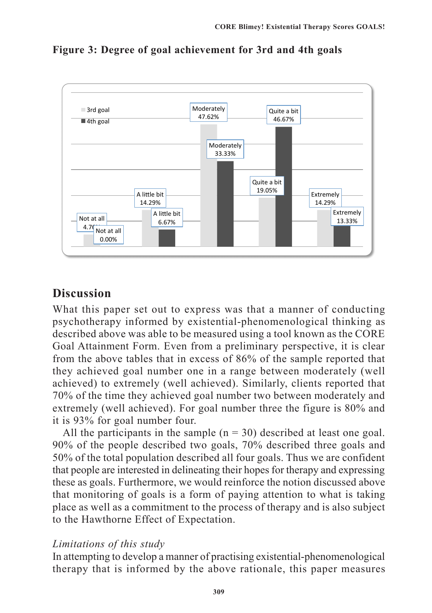

**Figure 3: Degree of goal achievement for 3rd and 4th goals**

## **Discussion**

What this paper set out to express was that a manner of conducting psychotherapy informed by existential-phenomenological thinking as described above was able to be measured using a tool known as the CORE Goal Attainment Form. Even from a preliminary perspective, it is clear from the above tables that in excess of 86% of the sample reported that they achieved goal number one in a range between moderately (well achieved) to extremely (well achieved). Similarly, clients reported that 70% of the time they achieved goal number two between moderately and extremely (well achieved). For goal number three the figure is 80% and it is 93% for goal number four.

All the participants in the sample  $(n = 30)$  described at least one goal. 90% of the people described two goals, 70% described three goals and 50% of the total population described all four goals. Thus we are confident that people are interested in delineating their hopes for therapy and expressing these as goals. Furthermore, we would reinforce the notion discussed above that monitoring of goals is a form of paying attention to what is taking place as well as a commitment to the process of therapy and is also subject to the Hawthorne Effect of Expectation.

#### *Limitations of this study*

In attempting to develop a manner of practising existential-phenomenological therapy that is informed by the above rationale, this paper measures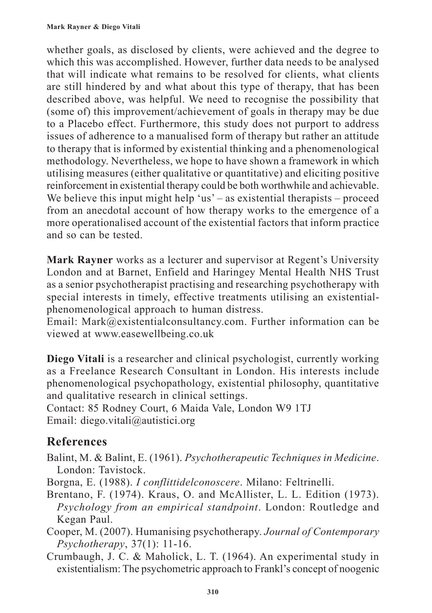whether goals, as disclosed by clients, were achieved and the degree to which this was accomplished. However, further data needs to be analysed that will indicate what remains to be resolved for clients, what clients are still hindered by and what about this type of therapy, that has been described above, was helpful. We need to recognise the possibility that (some of) this improvement/achievement of goals in therapy may be due to a Placebo effect. Furthermore, this study does not purport to address issues of adherence to a manualised form of therapy but rather an attitude to therapy that is informed by existential thinking and a phenomenological methodology. Nevertheless, we hope to have shown a framework in which utilising measures (either qualitative or quantitative) and eliciting positive reinforcement in existential therapy could be both worthwhile and achievable. We believe this input might help 'us' – as existential therapists – proceed from an anecdotal account of how therapy works to the emergence of a more operationalised account of the existential factors that inform practice and so can be tested.

**Mark Rayner** works as a lecturer and supervisor at Regent's University London and at Barnet, Enfield and Haringey Mental Health NHS Trust as a senior psychotherapist practising and researching psychotherapy with special interests in timely, effective treatments utilising an existentialphenomenological approach to human distress.

Email: Mark@existentialconsultancy.com. Further information can be viewed at www.easewellbeing.co.uk

**Diego Vitali** is a researcher and clinical psychologist, currently working as a Freelance Research Consultant in London. His interests include phenomenological psychopathology, existential philosophy, quantitative and qualitative research in clinical settings.

Contact: 85 Rodney Court, 6 Maida Vale, London W9 1TJ Email: diego.vitali@autistici.org

# **References**

Balint, M. & Balint, E. (1961). *Psychotherapeutic Techniques in Medicine*. London: Tavistock.

Borgna, E. (1988). *I conflittidelconoscere*. Milano: Feltrinelli.

- Brentano, F. (1974). Kraus, O. and McAllister, L. L. Edition (1973). *Psychology from an empirical standpoint*. London: Routledge and Kegan Paul.
- Cooper, M. (2007). Humanising psychotherapy. *Journal of Contemporary Psychotherapy*, 37(1): 11-16.
- Crumbaugh, J. C. & Maholick, L. T. (1964). An experimental study in existentialism: The psychometric approach to Frankl's concept of noogenic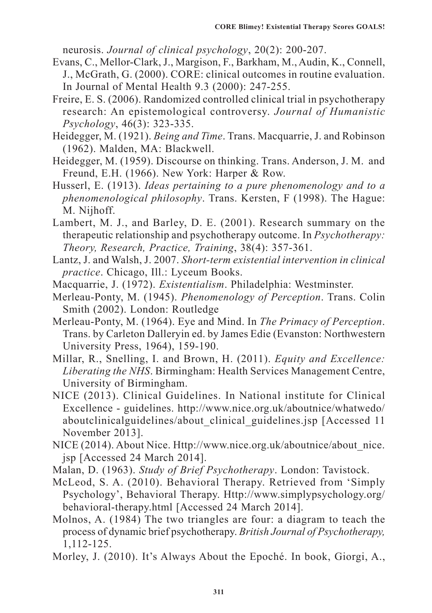neurosis. *Journal of clinical psychology*, 20(2): 200-207.

- Evans, C., Mellor-Clark, J., Margison, F., Barkham, M., Audin, K., Connell, J., McGrath, G. (2000). CORE: clinical outcomes in routine evaluation. In Journal of Mental Health 9.3 (2000): 247-255.
- Freire, E. S. (2006). Randomized controlled clinical trial in psychotherapy research: An epistemological controversy. *Journal of Humanistic Psychology*, 46(3): 323-335.
- Heidegger, M. (1921). *Being and Time*. Trans. Macquarrie, J. and Robinson (1962). Malden, MA: Blackwell.
- Heidegger, M. (1959). Discourse on thinking. Trans. Anderson, J. M. and Freund, E.H. (1966). New York: Harper & Row.
- Husserl, E. (1913). *Ideas pertaining to a pure phenomenology and to a phenomenological philosophy*. Trans. Kersten, F (1998). The Hague: M. Nijhoff.
- Lambert, M. J., and Barley, D. E. (2001). Research summary on the therapeutic relationship and psychotherapy outcome. In *Psychotherapy: Theory, Research, Practice, Training*, 38(4): 357-361.
- Lantz, J. and Walsh, J. 2007. *Short-term existential intervention in clinical practice*. Chicago, Ill.: Lyceum Books.
- Macquarrie, J. (1972). *Existentialism*. Philadelphia: Westminster.
- Merleau-Ponty, M. (1945). *Phenomenology of Perception*. Trans. Colin Smith (2002). London: Routledge
- Merleau-Ponty, M. (1964). Eye and Mind. In *The Primacy of Perception*. Trans. by Carleton Dalleryin ed. by James Edie (Evanston: Northwestern University Press, 1964), 159-190.
- Millar, R., Snelling, I. and Brown, H. (2011). *Equity and Excellence: Liberating the NHS*. Birmingham: Health Services Management Centre, University of Birmingham.
- NICE (2013). Clinical Guidelines. In National institute for Clinical Excellence - guidelines. http://www.nice.org.uk/aboutnice/whatwedo/ aboutclinicalguidelines/about clinical guidelines.jsp [Accessed 11 November 2013].
- NICE (2014). About Nice. Http://www.nice.org.uk/aboutnice/about\_nice. jsp [Accessed 24 March 2014].
- Malan, D. (1963). *Study of Brief Psychotherapy*. London: Tavistock.
- McLeod, S. A. (2010). Behavioral Therapy. Retrieved from 'Simply Psychology', Behavioral Therapy. Http://www.simplypsychology.org/ behavioral-therapy.html [Accessed 24 March 2014].
- Molnos, A. (1984) The two triangles are four: a diagram to teach the process of dynamic brief psychotherapy. *British Journal of Psychotherapy,*  1,112-125.
- Morley, J. (2010). It's Always About the Epoché. In book, Giorgi, A.,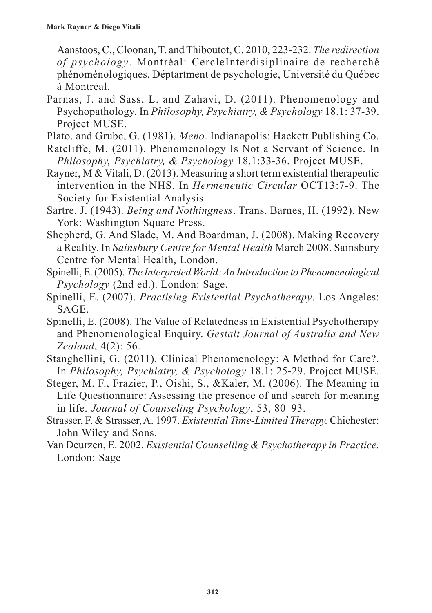Aanstoos, C., Cloonan, T. and Thiboutot, C. 2010, 223-232. *The redirection of psychology*. Montréal: CercleInterdisiplinaire de recherché phénoménologiques, Déptartment de psychologie, Université du Québec à Montréal.

Parnas, J. and Sass, L. and Zahavi, D. (2011). Phenomenology and Psychopathology. In *Philosophy, Psychiatry, & Psychology* 18.1: 37-39. Project MUSE.

Plato. and Grube, G. (1981). *Meno*. Indianapolis: Hackett Publishing Co.

- Ratcliffe, M. (2011). Phenomenology Is Not a Servant of Science. In *Philosophy, Psychiatry, & Psychology* 18.1:33-36. Project MUSE.
- Rayner, M & Vitali, D. (2013). Measuring a short term existential therapeutic intervention in the NHS. In *Hermeneutic Circular* OCT13:7-9. The Society for Existential Analysis.
- Sartre, J. (1943). *Being and Nothingness*. Trans. Barnes, H. (1992). New York: Washington Square Press.
- Shepherd, G. And Slade, M. And Boardman, J. (2008). Making Recovery a Reality. In *Sainsbury Centre for Mental Health* March 2008. Sainsbury Centre for Mental Health, London.
- Spinelli, E. (2005). *The Interpreted World: An Introduction to Phenomenological Psychology* (2nd ed.). London: Sage.
- Spinelli, E. (2007). *Practising Existential Psychotherapy*. Los Angeles: SAGE.
- Spinelli, E. (2008). The Value of Relatedness in Existential Psychotherapy and Phenomenological Enquiry. *Gestalt Journal of Australia and New Zealand*, 4(2): 56.
- Stanghellini, G. (2011). Clinical Phenomenology: A Method for Care?. In *Philosophy, Psychiatry, & Psychology* 18.1: 25-29. Project MUSE.
- Steger, M. F., Frazier, P., Oishi, S., &Kaler, M. (2006). The Meaning in Life Questionnaire: Assessing the presence of and search for meaning in life. *Journal of Counseling Psychology*, 53, 80–93.
- Strasser, F. & Strasser, A. 1997. *Existential Time-Limited Therapy.* Chichester: John Wiley and Sons.
- Van Deurzen, E. 2002. *Existential Counselling & Psychotherapy in Practice.*  London: Sage